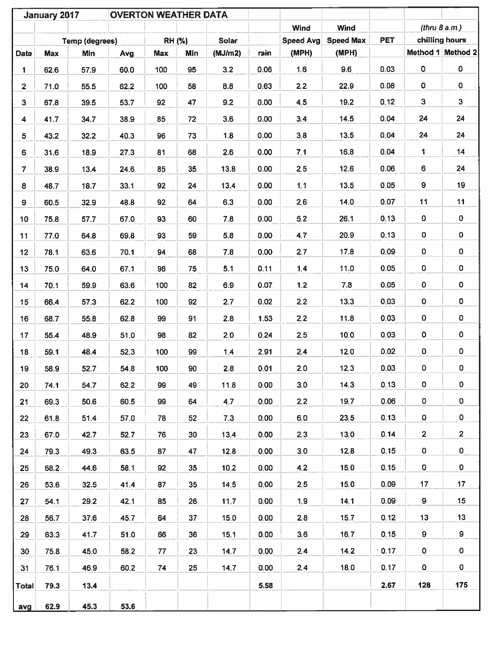|                         | January 2017 |                       | <b>OVERTON WEATHER DATA</b> |     |               |         |      |                  |                  |            |                 |                         |
|-------------------------|--------------|-----------------------|-----------------------------|-----|---------------|---------|------|------------------|------------------|------------|-----------------|-------------------------|
|                         |              |                       |                             |     |               |         |      | Wind             | Wind             |            | (thru $8$ a.m.) |                         |
|                         |              | <b>Temp (degrees)</b> |                             |     | <b>RH (%)</b> | Solar   |      | <b>Speed Avg</b> | <b>Speed Max</b> | <b>PET</b> |                 | chilling hours          |
| <b>Date</b>             | <b>Max</b>   | <b>Min</b>            | Avg                         | Max | Min           | (MJ/m2) | rain | (MPH)            | (MPH)            |            |                 | Method 1 Method 2       |
| 1                       | 62.6         | 57.9                  | 60.0                        | 100 | 95            | 3.2     | 0.06 | 1.6              | 9.6              | 0.03       | 0               | 0                       |
| $\mathbf{2}$            | 71.0         | 55.5                  | 62.2                        | 100 | 58            | 8.8     | 0.63 | 2.2              | 22.9             | 0.08       | $\mathbf 0$     | 0                       |
| 3                       | 67.8         | 39.5                  | 53.7                        | 92  | 47            | 9.2     | 0.00 | 4.5              | 19.2             | 0.12       | 3               | $\mathbf{3}$            |
| $\overline{\mathbf{4}}$ | 41.7         | 34.7                  | 38.9                        | 85  | 72            | 3.6     | 0.00 | 3,4              | 14.5             | 0.04       | 24              | 24                      |
| 5                       | 43.2         | 32.2                  | 40.3                        | 96  | 73            | 1.8     | 0.00 | 3,8              | 13.5             | 0.04       | 24              | 24                      |
| 6                       | 31.6         | 18.9                  | 27.3                        | 81  | 68            | 2.6     | 0.00 | 7:1              | 16.8             | 0.04       | 1               | 14                      |
| $\overline{7}$          | 38.9         | 13.4                  | 24.6                        | 85  | 35            | 13.8    | 0.00 | 2.5              | 12.6             | 0,06       | 6               | 24                      |
| 8                       | 48.7         | 18.7                  | 33.1                        | 92  | 24            | 13.4    | 0.00 | 1.1              | 13.5             | 0.05       | 9               | 19                      |
| 9                       | 60.5         | 32.9                  | 48.8                        | 92  | 64            | 6.3     | 0.00 | 2.6              | 14.0             | 0,07       | 11              | 11                      |
| 10                      | 75.8         | 57.7                  | 67.0                        | 93  | 60            | 7.8     | 0.00 | 5,2              | 26.1             | 0.13       | 0               | 0                       |
| 11                      | 77.0         | 64.8                  | 69.8                        | 93  | 59            | 5.8     | 0.00 | 4.7              | 20.9             | 0.13       | 0               | 0                       |
| 12                      | 78.1         | 63.6                  | 70.1                        | 94  | 68            | 7.8     | 0.00 | 2,7              | 17.8             | 0.09       | 0               | 0                       |
| 13                      | 75.0         | 64.0                  | 67.1                        | 98  | 75            | 5.1     | 0.11 | 1,4              | 11.0             | 0.05       | 0               | 0                       |
| 14                      | 70.1         | 59.9                  | 63.6                        | 100 | 82            | 6.9     | 0.07 | 1,2              | 7.8              | 0.05       | $\mathbf 0$     | 0                       |
| 15                      | 66.4         | 57.3                  | 62.2                        | 100 | 92            | 2.7     | 0.02 | 2,2              | 13.3             | 0.03       | 0               | 0                       |
| 16                      | 68.7         | 55.8                  | 62.8                        | 99  | 91            | 2.8     | 1.53 | 2,2              | 11.8             | 0.03       | 0               | 0                       |
| 17                      | 55.4         | 48.9                  | 51,0                        | 98  | 82            | 2.0     | 0.24 | 2.5              | 10.0             | 0.03       | 0               | $\pmb{0}$               |
| 18                      | 59.1         | 48.4                  | 52,3                        | 100 | 99            | 1,4     | 2,91 | 2,4              | 12,0             | 0.02       | $\pmb{0}$       | 0                       |
| 19                      | 58.9         | 52.7                  | 54.8                        | 100 | 90            | 2,8     | 0.01 | 2.0              | 12,3             | 0.03       | 0               | 0                       |
| 20                      | 74.1         | 54.7                  | 62.2                        | 99  | 49            | 11.8    | 0,00 | 3.0              | 14.3             | 0.13       | 0               | 0                       |
| 21                      | 69.3         | 50.6                  | 60,5                        | 99  | 64            | 4.7     | 0.00 | 2.2              | 19.7             | 0.06       | 0               | 0                       |
| 22                      | 61.8         | 51.4                  | 57,0                        | 78  | 52            | 7,3     | 0.00 | 6.0              | 23.5             | 0,13       | 0               | 0                       |
| 23                      | 67.0         | 42.7                  | 52,7                        | 76  | 30            | 13,4    | 0.00 | 2.3              | 13.0             | 0.14       | $\mathbf{2}$    | $\overline{\mathbf{c}}$ |
| 24                      | 79.3         | 49.3                  | 63.5                        | 87  | 47            | 12.8    | 0.00 | 3.0              | 12.8             | 0.15       | 0               | 0                       |
| 25                      | 68.2         | 44.6                  | 58.1                        | 92  | 35            | 10.2    | 0.00 | 4,2              | 15.0             | 0.15       | 0               | $\mathbf 0$             |
| 26                      | 53.6         | 32.5                  | 41.4                        | 87  | 35            | 14.5    | 0.00 | 2.5              | 15,0             | 0.09       | 17              | 17                      |
| 27                      | 54.1         | 29.2                  | 42.1                        | 85  | 26            | 11.7    | 0,00 | 1,9              | 14.1             | 0.09       | 9               | 15                      |
| 28                      | 56.7         | 37.6                  | 45.7                        | 64  | 37            | 15.0    | 0.00 | 2.8              | 15.7             | 0.12       | 13              | 13                      |
| 29                      | 63.3         | 41.7                  | 51.0                        | 66  | 36            | 15,1    | 0.00 | 3.6              | 16.7             | 0.15       | 9               | 9                       |
| 30                      | 75.8         | 45.0                  | 58,2                        | 77  | 23            | 14.7    | 0,00 | 2,4              | 14.2             | $-0.17$    | 0               | 0                       |
| 31                      | 76.1         | 46.9                  | 60.2                        | 74  | 25            | 14.7    | 0.00 | 2,4              | 18.0             | 0.17       | 0               | $\mathbf 0$             |
| <b>Total</b>            | 79.3         | 13.4                  |                             |     |               |         | 5.58 |                  |                  | 2.67       | 128             | 175                     |
|                         |              |                       |                             |     |               |         |      |                  |                  |            |                 |                         |
| avg                     | 62.9         | 45.3                  | 53.6                        |     |               |         |      |                  |                  |            |                 |                         |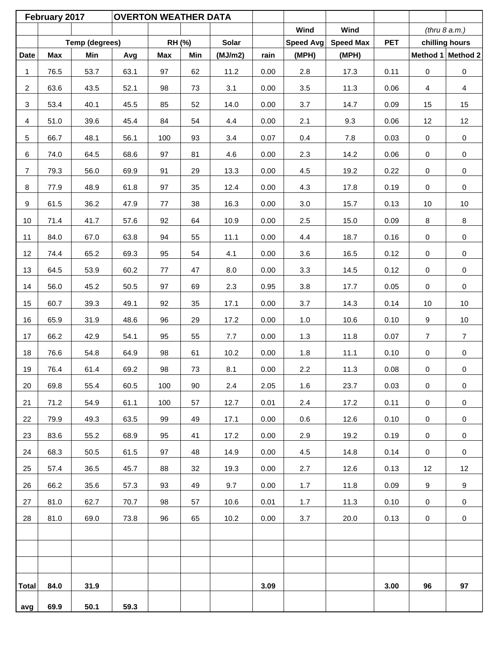| Wind<br>Wind<br>(thru 8 a.m.)<br>Temp (degrees)<br>RH (%)<br>Solar<br>Speed Avg<br><b>Speed Max</b><br><b>PET</b><br>chilling hours<br><b>Max</b><br>(MJ/m2)<br><b>Date</b><br>Min<br><b>Max</b><br>Min<br>rain<br>(MPH)<br>(MPH)<br>Avg<br>53.7<br>97<br>62<br>11.2<br>0.00<br>2.8<br>17.3<br>0.11<br>0<br>$\mathsf 0$<br>1<br>76.5<br>63.1<br>$\overline{2}$<br>63.6<br>43.5<br>52.1<br>98<br>73<br>3.1<br>0.00<br>3.5<br>11.3<br>0.06<br>$\overline{4}$<br>$\overline{4}$<br>$\mathbf{3}$<br>53.4<br>52<br>3.7<br>15<br>40.1<br>45.5<br>85<br>14.0<br>0.00<br>14.7<br>0.09<br>15<br>12<br>$\overline{4}$<br>51.0<br>39.6<br>45.4<br>84<br>54<br>4.4<br>0.00<br>2.1<br>9.3<br>0.06<br>12<br>$\pmb{0}$<br>5<br>66.7<br>48.1<br>56.1<br>100<br>93<br>3.4<br>0.07<br>0.4<br>$7.8\,$<br>0.03<br>0<br>6<br>74.0<br>68.6<br>81<br>2.3<br>14.2<br>$\pmb{0}$<br>64.5<br>97<br>4.6<br>0.00<br>0.06<br>0<br>$\overline{7}$<br>79.3<br>56.0<br>69.9<br>91<br>29<br>13.3<br>0.00<br>4.5<br>19.2<br>0.22<br>0<br>$\mathsf{O}\xspace$<br>8<br>$\mathbf 0$<br>77.9<br>48.9<br>61.8<br>97<br>35<br>12.4<br>0.00<br>4.3<br>17.8<br>0.19<br>0<br>9<br>61.5<br>36.2<br>38<br>15.7<br>10<br>47.9<br>77<br>16.3<br>0.00<br>3.0<br>0.13<br>10<br>92<br>64<br>2.5<br>8<br>8<br>10<br>71.4<br>41.7<br>57.6<br>10.9<br>0.00<br>15.0<br>0.09<br>11<br>84.0<br>67.0<br>63.8<br>94<br>55<br>11.1<br>0.00<br>4.4<br>18.7<br>0.16<br>$\pmb{0}$<br>0<br>12<br>74.4<br>95<br>54<br>0.00<br>3.6<br>16.5<br>0<br>$\mathsf 0$<br>65.2<br>69.3<br>4.1<br>0.12<br>13<br>64.5<br>53.9<br>60.2<br>47<br>8.0<br>0.00<br>3.3<br>14.5<br>0.12<br>$\mathsf 0$<br>77<br>0<br>14<br>56.0<br>45.2<br>50.5<br>97<br>69<br>2.3<br>0.95<br>3.8<br>17.7<br>0.05<br>0<br>$\pmb{0}$<br>$10\,$<br>15<br>60.7<br>39.3<br>49.1<br>92<br>35<br>0.00<br>3.7<br>14.3<br>0.14<br>$10\,$<br>17.1<br>9<br>$10$<br>16<br>65.9<br>31.9<br>48.6<br>96<br>29<br>0.00<br>$1.0$<br>10.6<br>0.10<br>17.2<br>17<br>66.2<br>42.9<br>95<br>55<br>1.3<br>11.8<br>$\overline{7}$<br>54.1<br>7.7<br>0.00<br>0.07<br>7<br>18<br>76.6<br>54.8<br>64.9<br>98<br>61<br>10.2<br>0.00<br>1.8<br>11.1<br>0.10<br>0<br>$\pmb{0}$<br>73<br>2.2<br>$\mathbf 0$<br>19<br>76.4<br>61.4<br>69.2<br>98<br>8.1<br>11.3<br>0.08<br>0<br>0.00<br>20<br>69.8<br>55.4<br>60.5<br>100<br>90<br>2.4<br>2.05<br>1.6<br>23.7<br>0.03<br>$\mathbf 0$<br>0<br>21<br>71.2<br>54.9<br>61.1<br>57<br>0.01<br>2.4<br>17.2<br>0.11<br>$\mathbf 0$<br>100<br>12.7<br>$\mathbf 0$<br>99<br>12.6<br>$\mathsf 0$<br>22<br>79.9<br>49.3<br>63.5<br>49<br>17.1<br>0.00<br>0.6<br>0.10<br>0<br>19.2<br>$\mathbf 0$<br>23<br>83.6<br>55.2<br>68.9<br>95<br>41<br>17.2<br>0.00<br>2.9<br>0.19<br>$\mathbf 0$<br>24<br>68.3<br>48<br>4.5<br>14.8<br>0.14<br>$\mathbf 0$<br>50.5<br>61.5<br>97<br>14.9<br>0.00<br>$\mathbf 0$<br>25<br>36.5<br>32<br>0.00<br>12.6<br>12<br>57.4<br>45.7<br>88<br>19.3<br>2.7<br>0.13<br>12<br>9<br>9<br>26<br>66.2<br>35.6<br>57.3<br>93<br>49<br>9.7<br>0.00<br>1.7<br>11.8<br>0.09<br>27<br>81.0<br>62.7<br>98<br>0.01<br>1.7<br>11.3<br>0.10<br>$\mathbf 0$<br>70.7<br>57<br>10.6<br>0<br>28<br>81.0<br>69.0<br>73.8<br>96<br>65<br>10.2<br>0.00<br>3.7<br>20.0<br>0.13<br>$\mathsf{O}$<br>0 |              | February 2017 |      | <b>OVERTON WEATHER DATA</b> |  |      |  |      |    |    |
|----------------------------------------------------------------------------------------------------------------------------------------------------------------------------------------------------------------------------------------------------------------------------------------------------------------------------------------------------------------------------------------------------------------------------------------------------------------------------------------------------------------------------------------------------------------------------------------------------------------------------------------------------------------------------------------------------------------------------------------------------------------------------------------------------------------------------------------------------------------------------------------------------------------------------------------------------------------------------------------------------------------------------------------------------------------------------------------------------------------------------------------------------------------------------------------------------------------------------------------------------------------------------------------------------------------------------------------------------------------------------------------------------------------------------------------------------------------------------------------------------------------------------------------------------------------------------------------------------------------------------------------------------------------------------------------------------------------------------------------------------------------------------------------------------------------------------------------------------------------------------------------------------------------------------------------------------------------------------------------------------------------------------------------------------------------------------------------------------------------------------------------------------------------------------------------------------------------------------------------------------------------------------------------------------------------------------------------------------------------------------------------------------------------------------------------------------------------------------------------------------------------------------------------------------------------------------------------------------------------------------------------------------------------------------------------------------------------------------------------------------------------------------------------------------------------------------------------------------------------------------------------------------------------------------------------------------------------------------------------------------------------------------------------------------------------------------------------------------------------------------------------------------------------------------------------------------------------|--------------|---------------|------|-----------------------------|--|------|--|------|----|----|
| Method 1 Method 2                                                                                                                                                                                                                                                                                                                                                                                                                                                                                                                                                                                                                                                                                                                                                                                                                                                                                                                                                                                                                                                                                                                                                                                                                                                                                                                                                                                                                                                                                                                                                                                                                                                                                                                                                                                                                                                                                                                                                                                                                                                                                                                                                                                                                                                                                                                                                                                                                                                                                                                                                                                                                                                                                                                                                                                                                                                                                                                                                                                                                                                                                                                                                                                              |              |               |      |                             |  |      |  |      |    |    |
|                                                                                                                                                                                                                                                                                                                                                                                                                                                                                                                                                                                                                                                                                                                                                                                                                                                                                                                                                                                                                                                                                                                                                                                                                                                                                                                                                                                                                                                                                                                                                                                                                                                                                                                                                                                                                                                                                                                                                                                                                                                                                                                                                                                                                                                                                                                                                                                                                                                                                                                                                                                                                                                                                                                                                                                                                                                                                                                                                                                                                                                                                                                                                                                                                |              |               |      |                             |  |      |  |      |    |    |
|                                                                                                                                                                                                                                                                                                                                                                                                                                                                                                                                                                                                                                                                                                                                                                                                                                                                                                                                                                                                                                                                                                                                                                                                                                                                                                                                                                                                                                                                                                                                                                                                                                                                                                                                                                                                                                                                                                                                                                                                                                                                                                                                                                                                                                                                                                                                                                                                                                                                                                                                                                                                                                                                                                                                                                                                                                                                                                                                                                                                                                                                                                                                                                                                                |              |               |      |                             |  |      |  |      |    |    |
|                                                                                                                                                                                                                                                                                                                                                                                                                                                                                                                                                                                                                                                                                                                                                                                                                                                                                                                                                                                                                                                                                                                                                                                                                                                                                                                                                                                                                                                                                                                                                                                                                                                                                                                                                                                                                                                                                                                                                                                                                                                                                                                                                                                                                                                                                                                                                                                                                                                                                                                                                                                                                                                                                                                                                                                                                                                                                                                                                                                                                                                                                                                                                                                                                |              |               |      |                             |  |      |  |      |    |    |
|                                                                                                                                                                                                                                                                                                                                                                                                                                                                                                                                                                                                                                                                                                                                                                                                                                                                                                                                                                                                                                                                                                                                                                                                                                                                                                                                                                                                                                                                                                                                                                                                                                                                                                                                                                                                                                                                                                                                                                                                                                                                                                                                                                                                                                                                                                                                                                                                                                                                                                                                                                                                                                                                                                                                                                                                                                                                                                                                                                                                                                                                                                                                                                                                                |              |               |      |                             |  |      |  |      |    |    |
|                                                                                                                                                                                                                                                                                                                                                                                                                                                                                                                                                                                                                                                                                                                                                                                                                                                                                                                                                                                                                                                                                                                                                                                                                                                                                                                                                                                                                                                                                                                                                                                                                                                                                                                                                                                                                                                                                                                                                                                                                                                                                                                                                                                                                                                                                                                                                                                                                                                                                                                                                                                                                                                                                                                                                                                                                                                                                                                                                                                                                                                                                                                                                                                                                |              |               |      |                             |  |      |  |      |    |    |
|                                                                                                                                                                                                                                                                                                                                                                                                                                                                                                                                                                                                                                                                                                                                                                                                                                                                                                                                                                                                                                                                                                                                                                                                                                                                                                                                                                                                                                                                                                                                                                                                                                                                                                                                                                                                                                                                                                                                                                                                                                                                                                                                                                                                                                                                                                                                                                                                                                                                                                                                                                                                                                                                                                                                                                                                                                                                                                                                                                                                                                                                                                                                                                                                                |              |               |      |                             |  |      |  |      |    |    |
|                                                                                                                                                                                                                                                                                                                                                                                                                                                                                                                                                                                                                                                                                                                                                                                                                                                                                                                                                                                                                                                                                                                                                                                                                                                                                                                                                                                                                                                                                                                                                                                                                                                                                                                                                                                                                                                                                                                                                                                                                                                                                                                                                                                                                                                                                                                                                                                                                                                                                                                                                                                                                                                                                                                                                                                                                                                                                                                                                                                                                                                                                                                                                                                                                |              |               |      |                             |  |      |  |      |    |    |
|                                                                                                                                                                                                                                                                                                                                                                                                                                                                                                                                                                                                                                                                                                                                                                                                                                                                                                                                                                                                                                                                                                                                                                                                                                                                                                                                                                                                                                                                                                                                                                                                                                                                                                                                                                                                                                                                                                                                                                                                                                                                                                                                                                                                                                                                                                                                                                                                                                                                                                                                                                                                                                                                                                                                                                                                                                                                                                                                                                                                                                                                                                                                                                                                                |              |               |      |                             |  |      |  |      |    |    |
|                                                                                                                                                                                                                                                                                                                                                                                                                                                                                                                                                                                                                                                                                                                                                                                                                                                                                                                                                                                                                                                                                                                                                                                                                                                                                                                                                                                                                                                                                                                                                                                                                                                                                                                                                                                                                                                                                                                                                                                                                                                                                                                                                                                                                                                                                                                                                                                                                                                                                                                                                                                                                                                                                                                                                                                                                                                                                                                                                                                                                                                                                                                                                                                                                |              |               |      |                             |  |      |  |      |    |    |
|                                                                                                                                                                                                                                                                                                                                                                                                                                                                                                                                                                                                                                                                                                                                                                                                                                                                                                                                                                                                                                                                                                                                                                                                                                                                                                                                                                                                                                                                                                                                                                                                                                                                                                                                                                                                                                                                                                                                                                                                                                                                                                                                                                                                                                                                                                                                                                                                                                                                                                                                                                                                                                                                                                                                                                                                                                                                                                                                                                                                                                                                                                                                                                                                                |              |               |      |                             |  |      |  |      |    |    |
|                                                                                                                                                                                                                                                                                                                                                                                                                                                                                                                                                                                                                                                                                                                                                                                                                                                                                                                                                                                                                                                                                                                                                                                                                                                                                                                                                                                                                                                                                                                                                                                                                                                                                                                                                                                                                                                                                                                                                                                                                                                                                                                                                                                                                                                                                                                                                                                                                                                                                                                                                                                                                                                                                                                                                                                                                                                                                                                                                                                                                                                                                                                                                                                                                |              |               |      |                             |  |      |  |      |    |    |
|                                                                                                                                                                                                                                                                                                                                                                                                                                                                                                                                                                                                                                                                                                                                                                                                                                                                                                                                                                                                                                                                                                                                                                                                                                                                                                                                                                                                                                                                                                                                                                                                                                                                                                                                                                                                                                                                                                                                                                                                                                                                                                                                                                                                                                                                                                                                                                                                                                                                                                                                                                                                                                                                                                                                                                                                                                                                                                                                                                                                                                                                                                                                                                                                                |              |               |      |                             |  |      |  |      |    |    |
|                                                                                                                                                                                                                                                                                                                                                                                                                                                                                                                                                                                                                                                                                                                                                                                                                                                                                                                                                                                                                                                                                                                                                                                                                                                                                                                                                                                                                                                                                                                                                                                                                                                                                                                                                                                                                                                                                                                                                                                                                                                                                                                                                                                                                                                                                                                                                                                                                                                                                                                                                                                                                                                                                                                                                                                                                                                                                                                                                                                                                                                                                                                                                                                                                |              |               |      |                             |  |      |  |      |    |    |
|                                                                                                                                                                                                                                                                                                                                                                                                                                                                                                                                                                                                                                                                                                                                                                                                                                                                                                                                                                                                                                                                                                                                                                                                                                                                                                                                                                                                                                                                                                                                                                                                                                                                                                                                                                                                                                                                                                                                                                                                                                                                                                                                                                                                                                                                                                                                                                                                                                                                                                                                                                                                                                                                                                                                                                                                                                                                                                                                                                                                                                                                                                                                                                                                                |              |               |      |                             |  |      |  |      |    |    |
|                                                                                                                                                                                                                                                                                                                                                                                                                                                                                                                                                                                                                                                                                                                                                                                                                                                                                                                                                                                                                                                                                                                                                                                                                                                                                                                                                                                                                                                                                                                                                                                                                                                                                                                                                                                                                                                                                                                                                                                                                                                                                                                                                                                                                                                                                                                                                                                                                                                                                                                                                                                                                                                                                                                                                                                                                                                                                                                                                                                                                                                                                                                                                                                                                |              |               |      |                             |  |      |  |      |    |    |
|                                                                                                                                                                                                                                                                                                                                                                                                                                                                                                                                                                                                                                                                                                                                                                                                                                                                                                                                                                                                                                                                                                                                                                                                                                                                                                                                                                                                                                                                                                                                                                                                                                                                                                                                                                                                                                                                                                                                                                                                                                                                                                                                                                                                                                                                                                                                                                                                                                                                                                                                                                                                                                                                                                                                                                                                                                                                                                                                                                                                                                                                                                                                                                                                                |              |               |      |                             |  |      |  |      |    |    |
|                                                                                                                                                                                                                                                                                                                                                                                                                                                                                                                                                                                                                                                                                                                                                                                                                                                                                                                                                                                                                                                                                                                                                                                                                                                                                                                                                                                                                                                                                                                                                                                                                                                                                                                                                                                                                                                                                                                                                                                                                                                                                                                                                                                                                                                                                                                                                                                                                                                                                                                                                                                                                                                                                                                                                                                                                                                                                                                                                                                                                                                                                                                                                                                                                |              |               |      |                             |  |      |  |      |    |    |
|                                                                                                                                                                                                                                                                                                                                                                                                                                                                                                                                                                                                                                                                                                                                                                                                                                                                                                                                                                                                                                                                                                                                                                                                                                                                                                                                                                                                                                                                                                                                                                                                                                                                                                                                                                                                                                                                                                                                                                                                                                                                                                                                                                                                                                                                                                                                                                                                                                                                                                                                                                                                                                                                                                                                                                                                                                                                                                                                                                                                                                                                                                                                                                                                                |              |               |      |                             |  |      |  |      |    |    |
|                                                                                                                                                                                                                                                                                                                                                                                                                                                                                                                                                                                                                                                                                                                                                                                                                                                                                                                                                                                                                                                                                                                                                                                                                                                                                                                                                                                                                                                                                                                                                                                                                                                                                                                                                                                                                                                                                                                                                                                                                                                                                                                                                                                                                                                                                                                                                                                                                                                                                                                                                                                                                                                                                                                                                                                                                                                                                                                                                                                                                                                                                                                                                                                                                |              |               |      |                             |  |      |  |      |    |    |
|                                                                                                                                                                                                                                                                                                                                                                                                                                                                                                                                                                                                                                                                                                                                                                                                                                                                                                                                                                                                                                                                                                                                                                                                                                                                                                                                                                                                                                                                                                                                                                                                                                                                                                                                                                                                                                                                                                                                                                                                                                                                                                                                                                                                                                                                                                                                                                                                                                                                                                                                                                                                                                                                                                                                                                                                                                                                                                                                                                                                                                                                                                                                                                                                                |              |               |      |                             |  |      |  |      |    |    |
|                                                                                                                                                                                                                                                                                                                                                                                                                                                                                                                                                                                                                                                                                                                                                                                                                                                                                                                                                                                                                                                                                                                                                                                                                                                                                                                                                                                                                                                                                                                                                                                                                                                                                                                                                                                                                                                                                                                                                                                                                                                                                                                                                                                                                                                                                                                                                                                                                                                                                                                                                                                                                                                                                                                                                                                                                                                                                                                                                                                                                                                                                                                                                                                                                |              |               |      |                             |  |      |  |      |    |    |
|                                                                                                                                                                                                                                                                                                                                                                                                                                                                                                                                                                                                                                                                                                                                                                                                                                                                                                                                                                                                                                                                                                                                                                                                                                                                                                                                                                                                                                                                                                                                                                                                                                                                                                                                                                                                                                                                                                                                                                                                                                                                                                                                                                                                                                                                                                                                                                                                                                                                                                                                                                                                                                                                                                                                                                                                                                                                                                                                                                                                                                                                                                                                                                                                                |              |               |      |                             |  |      |  |      |    |    |
|                                                                                                                                                                                                                                                                                                                                                                                                                                                                                                                                                                                                                                                                                                                                                                                                                                                                                                                                                                                                                                                                                                                                                                                                                                                                                                                                                                                                                                                                                                                                                                                                                                                                                                                                                                                                                                                                                                                                                                                                                                                                                                                                                                                                                                                                                                                                                                                                                                                                                                                                                                                                                                                                                                                                                                                                                                                                                                                                                                                                                                                                                                                                                                                                                |              |               |      |                             |  |      |  |      |    |    |
|                                                                                                                                                                                                                                                                                                                                                                                                                                                                                                                                                                                                                                                                                                                                                                                                                                                                                                                                                                                                                                                                                                                                                                                                                                                                                                                                                                                                                                                                                                                                                                                                                                                                                                                                                                                                                                                                                                                                                                                                                                                                                                                                                                                                                                                                                                                                                                                                                                                                                                                                                                                                                                                                                                                                                                                                                                                                                                                                                                                                                                                                                                                                                                                                                |              |               |      |                             |  |      |  |      |    |    |
|                                                                                                                                                                                                                                                                                                                                                                                                                                                                                                                                                                                                                                                                                                                                                                                                                                                                                                                                                                                                                                                                                                                                                                                                                                                                                                                                                                                                                                                                                                                                                                                                                                                                                                                                                                                                                                                                                                                                                                                                                                                                                                                                                                                                                                                                                                                                                                                                                                                                                                                                                                                                                                                                                                                                                                                                                                                                                                                                                                                                                                                                                                                                                                                                                |              |               |      |                             |  |      |  |      |    |    |
|                                                                                                                                                                                                                                                                                                                                                                                                                                                                                                                                                                                                                                                                                                                                                                                                                                                                                                                                                                                                                                                                                                                                                                                                                                                                                                                                                                                                                                                                                                                                                                                                                                                                                                                                                                                                                                                                                                                                                                                                                                                                                                                                                                                                                                                                                                                                                                                                                                                                                                                                                                                                                                                                                                                                                                                                                                                                                                                                                                                                                                                                                                                                                                                                                |              |               |      |                             |  |      |  |      |    |    |
|                                                                                                                                                                                                                                                                                                                                                                                                                                                                                                                                                                                                                                                                                                                                                                                                                                                                                                                                                                                                                                                                                                                                                                                                                                                                                                                                                                                                                                                                                                                                                                                                                                                                                                                                                                                                                                                                                                                                                                                                                                                                                                                                                                                                                                                                                                                                                                                                                                                                                                                                                                                                                                                                                                                                                                                                                                                                                                                                                                                                                                                                                                                                                                                                                |              |               |      |                             |  |      |  |      |    |    |
|                                                                                                                                                                                                                                                                                                                                                                                                                                                                                                                                                                                                                                                                                                                                                                                                                                                                                                                                                                                                                                                                                                                                                                                                                                                                                                                                                                                                                                                                                                                                                                                                                                                                                                                                                                                                                                                                                                                                                                                                                                                                                                                                                                                                                                                                                                                                                                                                                                                                                                                                                                                                                                                                                                                                                                                                                                                                                                                                                                                                                                                                                                                                                                                                                |              |               |      |                             |  |      |  |      |    |    |
|                                                                                                                                                                                                                                                                                                                                                                                                                                                                                                                                                                                                                                                                                                                                                                                                                                                                                                                                                                                                                                                                                                                                                                                                                                                                                                                                                                                                                                                                                                                                                                                                                                                                                                                                                                                                                                                                                                                                                                                                                                                                                                                                                                                                                                                                                                                                                                                                                                                                                                                                                                                                                                                                                                                                                                                                                                                                                                                                                                                                                                                                                                                                                                                                                |              |               |      |                             |  |      |  |      |    |    |
|                                                                                                                                                                                                                                                                                                                                                                                                                                                                                                                                                                                                                                                                                                                                                                                                                                                                                                                                                                                                                                                                                                                                                                                                                                                                                                                                                                                                                                                                                                                                                                                                                                                                                                                                                                                                                                                                                                                                                                                                                                                                                                                                                                                                                                                                                                                                                                                                                                                                                                                                                                                                                                                                                                                                                                                                                                                                                                                                                                                                                                                                                                                                                                                                                |              |               |      |                             |  |      |  |      |    |    |
|                                                                                                                                                                                                                                                                                                                                                                                                                                                                                                                                                                                                                                                                                                                                                                                                                                                                                                                                                                                                                                                                                                                                                                                                                                                                                                                                                                                                                                                                                                                                                                                                                                                                                                                                                                                                                                                                                                                                                                                                                                                                                                                                                                                                                                                                                                                                                                                                                                                                                                                                                                                                                                                                                                                                                                                                                                                                                                                                                                                                                                                                                                                                                                                                                |              |               |      |                             |  |      |  |      |    |    |
|                                                                                                                                                                                                                                                                                                                                                                                                                                                                                                                                                                                                                                                                                                                                                                                                                                                                                                                                                                                                                                                                                                                                                                                                                                                                                                                                                                                                                                                                                                                                                                                                                                                                                                                                                                                                                                                                                                                                                                                                                                                                                                                                                                                                                                                                                                                                                                                                                                                                                                                                                                                                                                                                                                                                                                                                                                                                                                                                                                                                                                                                                                                                                                                                                |              |               |      |                             |  |      |  |      |    |    |
|                                                                                                                                                                                                                                                                                                                                                                                                                                                                                                                                                                                                                                                                                                                                                                                                                                                                                                                                                                                                                                                                                                                                                                                                                                                                                                                                                                                                                                                                                                                                                                                                                                                                                                                                                                                                                                                                                                                                                                                                                                                                                                                                                                                                                                                                                                                                                                                                                                                                                                                                                                                                                                                                                                                                                                                                                                                                                                                                                                                                                                                                                                                                                                                                                |              |               |      |                             |  |      |  |      |    |    |
|                                                                                                                                                                                                                                                                                                                                                                                                                                                                                                                                                                                                                                                                                                                                                                                                                                                                                                                                                                                                                                                                                                                                                                                                                                                                                                                                                                                                                                                                                                                                                                                                                                                                                                                                                                                                                                                                                                                                                                                                                                                                                                                                                                                                                                                                                                                                                                                                                                                                                                                                                                                                                                                                                                                                                                                                                                                                                                                                                                                                                                                                                                                                                                                                                | <b>Total</b> | 84.0          | 31.9 |                             |  | 3.09 |  | 3.00 | 96 | 97 |
| 69.9<br>50.1<br>59.3<br>avg                                                                                                                                                                                                                                                                                                                                                                                                                                                                                                                                                                                                                                                                                                                                                                                                                                                                                                                                                                                                                                                                                                                                                                                                                                                                                                                                                                                                                                                                                                                                                                                                                                                                                                                                                                                                                                                                                                                                                                                                                                                                                                                                                                                                                                                                                                                                                                                                                                                                                                                                                                                                                                                                                                                                                                                                                                                                                                                                                                                                                                                                                                                                                                                    |              |               |      |                             |  |      |  |      |    |    |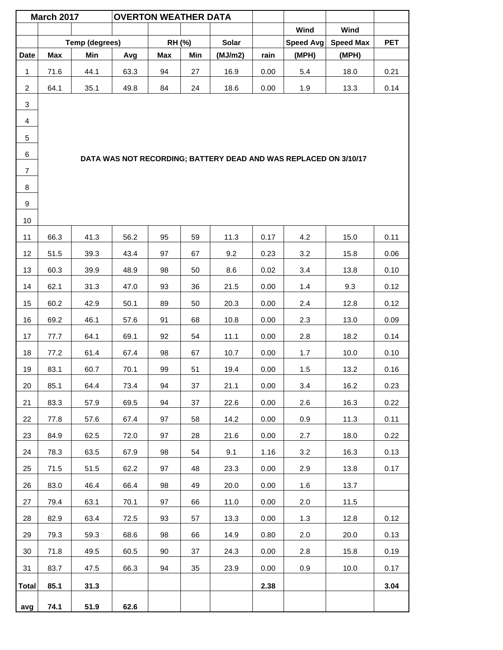|                | <b>March 2017</b> |                | <b>OVERTON WEATHER DATA</b> |            |     |              |      |                                                                  |                  |            |
|----------------|-------------------|----------------|-----------------------------|------------|-----|--------------|------|------------------------------------------------------------------|------------------|------------|
|                |                   |                |                             |            |     |              |      | Wind                                                             | Wind             |            |
|                |                   | Temp (degrees) |                             | RH (%)     |     | <b>Solar</b> |      | <b>Speed Avg</b>                                                 | <b>Speed Max</b> | <b>PET</b> |
| <b>Date</b>    | Max               | Min            | Avg                         | <b>Max</b> | Min | (MJ/m2)      | rain | (MPH)                                                            | (MPH)            |            |
| 1              | 71.6              | 44.1           | 63.3                        | 94         | 27  | 16.9         | 0.00 | 5.4                                                              | 18.0             | 0.21       |
| $\overline{2}$ | 64.1              | 35.1           | 49.8                        | 84         | 24  | 18.6         | 0.00 | 1.9                                                              | 13.3             | 0.14       |
| $\mathbf{3}$   |                   |                |                             |            |     |              |      |                                                                  |                  |            |
| $\overline{4}$ |                   |                |                             |            |     |              |      |                                                                  |                  |            |
| 5              |                   |                |                             |            |     |              |      |                                                                  |                  |            |
| 6              |                   |                |                             |            |     |              |      | DATA WAS NOT RECORDING; BATTERY DEAD AND WAS REPLACED ON 3/10/17 |                  |            |
| $\overline{7}$ |                   |                |                             |            |     |              |      |                                                                  |                  |            |
| 8              |                   |                |                             |            |     |              |      |                                                                  |                  |            |
| 9              |                   |                |                             |            |     |              |      |                                                                  |                  |            |
| 10             |                   |                |                             |            |     |              |      |                                                                  |                  |            |
| 11             | 66.3              | 41.3           | 56.2                        | 95         | 59  | 11.3         | 0.17 | 4.2                                                              | 15.0             | 0.11       |
| 12             | 51.5              | 39.3           | 43.4                        | 97         | 67  | 9.2          | 0.23 | 3.2                                                              | 15.8             | 0.06       |
| 13             | 60.3              | 39.9           | 48.9                        | 98         | 50  | 8.6          | 0.02 | 3.4                                                              | 13.8             | 0.10       |
| 14             | 62.1              | 31.3           | 47.0                        | 93         | 36  | 21.5         | 0.00 | 1.4                                                              | 9.3              | 0.12       |
| 15             | 60.2              | 42.9           | 50.1                        | 89         | 50  | 20.3         | 0.00 | 2.4                                                              | 12.8             | 0.12       |
| 16             | 69.2              | 46.1           | 57.6                        | 91         | 68  | 10.8         | 0.00 | 2.3                                                              | 13.0             | 0.09       |
| 17             | 77.7              | 64.1           | 69.1                        | 92         | 54  | 11.1         | 0.00 | 2.8                                                              | 18.2             | 0.14       |
| 18             | 77.2              | 61.4           | 67.4                        | 98         | 67  | 10.7         | 0.00 | 1.7                                                              | 10.0             | 0.10       |
| 19             | 83.1              | 60.7           | 70.1                        | 99         | 51  | 19.4         | 0.00 | 1.5                                                              | 13.2             | 0.16       |
| 20             | 85.1              | 64.4           | 73.4                        | 94         | 37  | 21.1         | 0.00 | 3.4                                                              | 16.2             | 0.23       |
| 21             | 83.3              | 57.9           | 69.5                        | 94         | 37  | 22.6         | 0.00 | 2.6                                                              | 16.3             | 0.22       |
| 22             | 77.8              | 57.6           | 67.4                        | 97         | 58  | 14.2         | 0.00 | 0.9                                                              | 11.3             | 0.11       |
| 23             | 84.9              | 62.5           | 72.0                        | 97         | 28  | 21.6         | 0.00 | 2.7                                                              | 18.0             | 0.22       |
| 24             | 78.3              | 63.5           | 67.9                        | 98         | 54  | 9.1          | 1.16 | 3.2                                                              | 16.3             | 0.13       |
| 25             | 71.5              | 51.5           | 62.2                        | 97         | 48  | 23.3         | 0.00 | 2.9                                                              | 13.8             | 0.17       |
| 26             | 83.0              | 46.4           | 66.4                        | 98         | 49  | 20.0         | 0.00 | 1.6                                                              | 13.7             |            |
| 27             | 79.4              | 63.1           | 70.1                        | 97         | 66  | 11.0         | 0.00 | 2.0                                                              | 11.5             |            |
| 28             | 82.9              | 63.4           | 72.5                        | 93         | 57  | 13.3         | 0.00 | 1.3                                                              | 12.8             | 0.12       |
| 29             | 79.3              | 59.3           | 68.6                        | 98         | 66  | 14.9         | 0.80 | 2.0                                                              | 20.0             | 0.13       |
| 30             | 71.8              | 49.5           | 60.5                        | 90         | 37  | 24.3         | 0.00 | 2.8                                                              | 15.8             | 0.19       |
| 31             | 83.7              | 47.5           | 66.3                        | 94         | 35  | 23.9         | 0.00 | 0.9                                                              | 10.0             | 0.17       |
| <b>Total</b>   | 85.1              | 31.3           |                             |            |     |              | 2.38 |                                                                  |                  | 3.04       |
| avg            | 74.1              | 51.9           | 62.6                        |            |     |              |      |                                                                  |                  |            |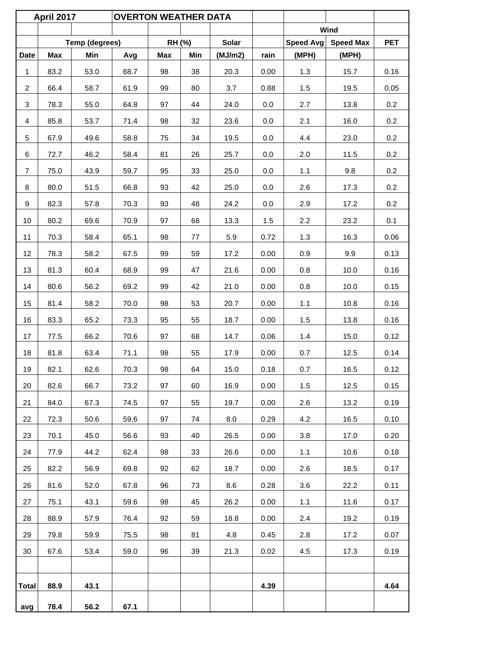|                | <b>April 2017</b> |                | <b>OVERTON WEATHER DATA</b> |     |        |              |         |                  |                  |            |
|----------------|-------------------|----------------|-----------------------------|-----|--------|--------------|---------|------------------|------------------|------------|
|                |                   |                |                             |     |        |              |         |                  | Wind             |            |
|                |                   | Temp (degrees) |                             |     | RH (%) | <b>Solar</b> |         | <b>Speed Avg</b> | <b>Speed Max</b> | <b>PET</b> |
| <b>Date</b>    | Max               | Min            | Avg                         | Max | Min    | (MJ/m2)      | rain    | (MPH)            | (MPH)            |            |
| $\mathbf{1}$   | 83.2              | 53.0           | 68.7                        | 98  | 38     | 20.3         | 0.00    | 1.3              | 15.7             | 0.16       |
| $\overline{2}$ | 66.4              | 58.7           | 61.9                        | 99  | 80     | 3.7          | 0.88    | 1.5              | 19.5             | 0.05       |
| 3              | 78.3              | 55.0           | 64.8                        | 97  | 44     | 24.0         | 0.0     | 2.7              | 13.8             | 0.2        |
| 4              | 85.8              | 53.7           | 71.4                        | 98  | 32     | 23.6         | 0.0     | 2.1              | 16.0             | 0.2        |
| 5              | 67.9              | 49.6           | 58.8                        | 75  | 34     | 19.5         | $0.0\,$ | 4.4              | 23.0             | 0.2        |
| 6              | 72.7              | 46.2           | 58.4                        | 81  | 26     | 25.7         | 0.0     | 2.0              | 11.5             | 0.2        |
| $\overline{7}$ | 75.0              | 43.9           | 59.7                        | 95  | 33     | 25.0         | 0.0     | 1.1              | 9.8              | 0.2        |
| 8              | 80.0              | 51.5           | 66.8                        | 93  | 42     | 25.0         | 0.0     | 2.6              | 17.3             | 0.2        |
| 9              | 82.3              | 57.8           | 70.3                        | 93  | 48     | 24.2         | 0.0     | 2.9              | 17.2             | 0.2        |
| 10             | 80.2              | 69.6           | 70.9                        | 97  | 68     | 13.3         | 1.5     | 2.2              | 23.2             | 0.1        |
| 11             | 70.3              | 58.4           | 65.1                        | 98  | 77     | 5.9          | 0.72    | 1.3              | 16.3             | 0.06       |
| 12             | 78.3              | 58.2           | 67.5                        | 99  | 59     | 17.2         | 0.00    | 0.9              | 9.9              | 0.13       |
| 13             | 81.3              | 60.4           | 68.9                        | 99  | 47     | 21.6         | 0.00    | 0.8              | 10.0             | 0.16       |
| 14             | 80.6              | 56.2           | 69.2                        | 99  | 42     | 21.0         | 0.00    | 0.8              | 10.0             | 0.15       |
| 15             | 81.4              | 58.2           | 70.0                        | 98  | 53     | 20.7         | 0.00    | 1.1              | 10.8             | 0.16       |
| 16             | 83.3              | 65.2           | 73.3                        | 95  | 55     | 18.7         | 0.00    | 1.5              | 13.8             | 0.16       |
| 17             | 77.5              | 66.2           | 70.6                        | 97  | 68     | 14.7         | 0.06    | 1.4              | 15.0             | 0.12       |
| 18             | 81.8              | 63.4           | 71.1                        | 98  | 55     | 17.9         | 0.00    | 0.7              | 12.5             | 0.14       |
| 19             | 82.1              | 62.6           | 70.3                        | 98  | 64     | 15.0         | 0.18    | 0.7              | 16.5             | 0.12       |
| 20             | 82.6              | 66.7           | 73.2                        | 97  | 60     | 16.9         | 0.00    | 1.5              | 12.5             | 0.15       |
| 21             | 84.0              | 67.3           | 74.5                        | 97  | 55     | 19.7         | 0.00    | 2.6              | 13.2             | 0.19       |
| 22             | 72.3              | 50.6           | 59.6                        | 97  | 74     | 8.0          | 0.29    | 4.2              | 16.5             | 0.10       |
| 23             | 70.1              | 45.0           | 56.6                        | 93  | 40     | 26.5         | 0.00    | 3.8              | 17.0             | 0.20       |
| 24             | 77.9              | 44.2           | 62.4                        | 98  | 33     | 26.6         | 0.00    | 1.1              | 10.6             | 0.18       |
| 25             | 82.2              | 56.9           | 69.8                        | 92  | 62     | 18.7         | 0.00    | 2.6              | 18.5             | 0.17       |
| 26             | 81.6              | 52.0           | 67.8                        | 96  | 73     | 8.6          | 0.28    | 3.6              | 22.2             | 0.11       |
| 27             | 75.1              | 43.1           | 59.6                        | 98  | 45     | 26.2         | 0.00    | 1.1              | 11.6             | 0.17       |
| 28             | 88.9              | 57.9           | 76.4                        | 92  | 59     | 18.8         | 0.00    | 2.4              | 19.2             | 0.19       |
| 29             | 79.8              | 59.9           | 75.5                        | 98  | 81     | 4.8          | 0.45    | 2.8              | 17.2             | 0.07       |
| 30             | 67.6              | 53.4           | 59.0                        | 96  | 39     | 21.3         | 0.02    | 4.5              | 17.3             | 0.19       |
|                |                   |                |                             |     |        |              |         |                  |                  |            |
| <b>Total</b>   | 88.9              | 43.1           |                             |     |        |              | 4.39    |                  |                  | 4.64       |
| avg            | 78.4              | 56.2           | 67.1                        |     |        |              |         |                  |                  |            |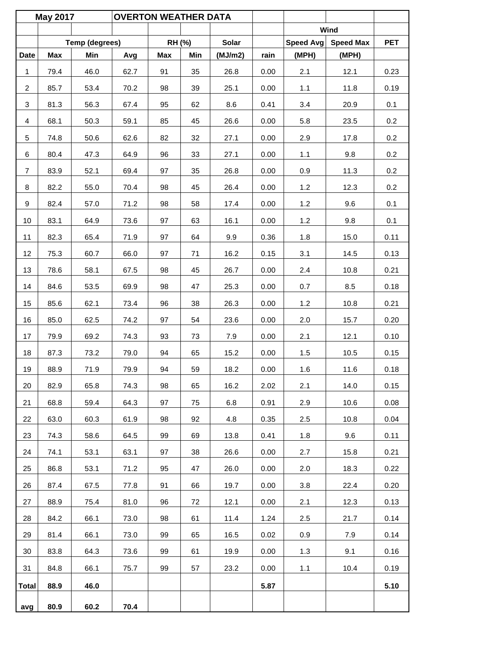|                | <b>May 2017</b> |                | <b>OVERTON WEATHER DATA</b> |        |     |              |      |                  |                  |            |
|----------------|-----------------|----------------|-----------------------------|--------|-----|--------------|------|------------------|------------------|------------|
|                |                 |                |                             |        |     |              |      |                  | Wind             |            |
|                |                 | Temp (degrees) |                             | RH (%) |     | <b>Solar</b> |      | <b>Speed Avg</b> | <b>Speed Max</b> | <b>PET</b> |
| <b>Date</b>    | Max             | Min            | Avg                         | Max    | Min | (MJ/m2)      | rain | (MPH)            | (MPH)            |            |
| 1              | 79.4            | 46.0           | 62.7                        | 91     | 35  | 26.8         | 0.00 | 2.1              | 12.1             | 0.23       |
| $\overline{2}$ | 85.7            | 53.4           | 70.2                        | 98     | 39  | 25.1         | 0.00 | 1.1              | 11.8             | 0.19       |
| 3              | 81.3            | 56.3           | 67.4                        | 95     | 62  | 8.6          | 0.41 | 3.4              | 20.9             | 0.1        |
| 4              | 68.1            | 50.3           | 59.1                        | 85     | 45  | 26.6         | 0.00 | 5.8              | 23.5             | 0.2        |
| 5              | 74.8            | 50.6           | 62.6                        | 82     | 32  | 27.1         | 0.00 | 2.9              | 17.8             | 0.2        |
| 6              | 80.4            | 47.3           | 64.9                        | 96     | 33  | 27.1         | 0.00 | 1.1              | 9.8              | 0.2        |
| $\overline{7}$ | 83.9            | 52.1           | 69.4                        | 97     | 35  | 26.8         | 0.00 | 0.9              | 11.3             | 0.2        |
| 8              | 82.2            | 55.0           | 70.4                        | 98     | 45  | 26.4         | 0.00 | 1.2              | 12.3             | 0.2        |
| 9              | 82.4            | 57.0           | 71.2                        | 98     | 58  | 17.4         | 0.00 | 1.2              | 9.6              | 0.1        |
| 10             | 83.1            | 64.9           | 73.6                        | 97     | 63  | 16.1         | 0.00 | 1.2              | 9.8              | 0.1        |
| 11             | 82.3            | 65.4           | 71.9                        | 97     | 64  | 9.9          | 0.36 | 1.8              | 15.0             | 0.11       |
| 12             | 75.3            | 60.7           | 66.0                        | 97     | 71  | 16.2         | 0.15 | 3.1              | 14.5             | 0.13       |
| 13             | 78.6            | 58.1           | 67.5                        | 98     | 45  | 26.7         | 0.00 | 2.4              | 10.8             | 0.21       |
| 14             | 84.6            | 53.5           | 69.9                        | 98     | 47  | 25.3         | 0.00 | 0.7              | 8.5              | 0.18       |
| 15             | 85.6            | 62.1           | 73.4                        | 96     | 38  | 26.3         | 0.00 | 1.2              | 10.8             | 0.21       |
| 16             | 85.0            | 62.5           | 74.2                        | 97     | 54  | 23.6         | 0.00 | 2.0              | 15.7             | 0.20       |
| 17             | 79.9            | 69.2           | 74.3                        | 93     | 73  | 7.9          | 0.00 | 2.1              | 12.1             | 0.10       |
| 18             | 87.3            | 73.2           | 79.0                        | 94     | 65  | 15.2         | 0.00 | 1.5              | 10.5             | 0.15       |
| 19             | 88.9            | 71.9           | 79.9                        | 94     | 59  | 18.2         | 0.00 | 1.6              | 11.6             | 0.18       |
| 20             | 82.9            | 65.8           | 74.3                        | 98     | 65  | 16.2         | 2.02 | 2.1              | 14.0             | 0.15       |
| 21             | 68.8            | 59.4           | 64.3                        | 97     | 75  | 6.8          | 0.91 | 2.9              | 10.6             | 0.08       |
| 22             | 63.0            | 60.3           | 61.9                        | 98     | 92  | 4.8          | 0.35 | 2.5              | 10.8             | 0.04       |
| 23             | 74.3            | 58.6           | 64.5                        | 99     | 69  | 13.8         | 0.41 | 1.8              | 9.6              | 0.11       |
| 24             | 74.1            | 53.1           | 63.1                        | 97     | 38  | 26.6         | 0.00 | 2.7              | 15.8             | 0.21       |
| 25             | 86.8            | 53.1           | 71.2                        | 95     | 47  | 26.0         | 0.00 | 2.0              | 18.3             | 0.22       |
| 26             | 87.4            | 67.5           | 77.8                        | 91     | 66  | 19.7         | 0.00 | 3.8              | 22.4             | 0.20       |
| 27             | 88.9            | 75.4           | 81.0                        | 96     | 72  | 12.1         | 0.00 | 2.1              | 12.3             | 0.13       |
| 28             | 84.2            | 66.1           | 73.0                        | 98     | 61  | 11.4         | 1.24 | 2.5              | 21.7             | 0.14       |
| 29             | 81.4            | 66.1           | 73.0                        | 99     | 65  | 16.5         | 0.02 | 0.9              | 7.9              | 0.14       |
| 30             | 83.8            | 64.3           | 73.6                        | 99     | 61  | 19.9         | 0.00 | 1.3              | 9.1              | 0.16       |
| 31             | 84.8            | 66.1           | 75.7                        | 99     | 57  | 23.2         | 0.00 | $1.1$            | 10.4             | 0.19       |
| <b>Total</b>   | 88.9            | 46.0           |                             |        |     |              | 5.87 |                  |                  | 5.10       |
| avg            | 80.9            | 60.2           | 70.4                        |        |     |              |      |                  |                  |            |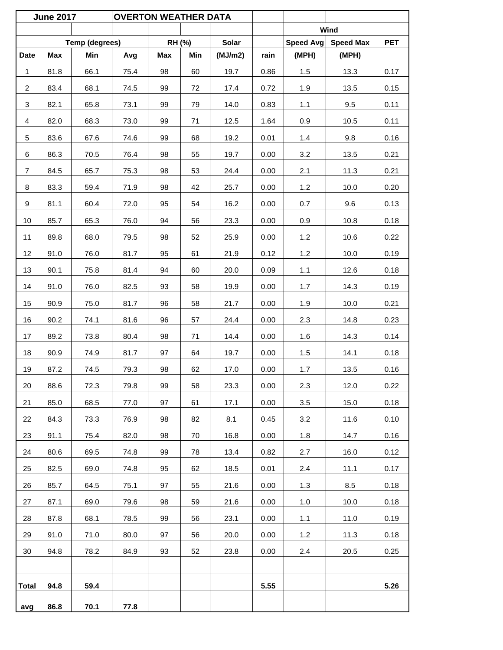|                | <b>June 2017</b> |                | <b>OVERTON WEATHER DATA</b> |     |        |              |      |                  |                  |            |
|----------------|------------------|----------------|-----------------------------|-----|--------|--------------|------|------------------|------------------|------------|
|                |                  |                |                             |     |        |              |      |                  | Wind             |            |
|                |                  | Temp (degrees) |                             |     | RH (%) | <b>Solar</b> |      | <b>Speed Avg</b> | <b>Speed Max</b> | <b>PET</b> |
| <b>Date</b>    | Max              | Min            | Avg                         | Max | Min    | (MJ/m2)      | rain | (MPH)            | (MPH)            |            |
| $\mathbf{1}$   | 81.8             | 66.1           | 75.4                        | 98  | 60     | 19.7         | 0.86 | 1.5              | 13.3             | 0.17       |
| $\overline{c}$ | 83.4             | 68.1           | 74.5                        | 99  | 72     | 17.4         | 0.72 | 1.9              | 13.5             | 0.15       |
| 3              | 82.1             | 65.8           | 73.1                        | 99  | 79     | 14.0         | 0.83 | 1.1              | 9.5              | 0.11       |
| 4              | 82.0             | 68.3           | 73.0                        | 99  | 71     | 12.5         | 1.64 | 0.9              | 10.5             | 0.11       |
| 5              | 83.6             | 67.6           | 74.6                        | 99  | 68     | 19.2         | 0.01 | 1.4              | 9.8              | 0.16       |
| 6              | 86.3             | 70.5           | 76.4                        | 98  | 55     | 19.7         | 0.00 | 3.2              | 13.5             | 0.21       |
| $\overline{7}$ | 84.5             | 65.7           | 75.3                        | 98  | 53     | 24.4         | 0.00 | 2.1              | 11.3             | 0.21       |
| 8              | 83.3             | 59.4           | 71.9                        | 98  | 42     | 25.7         | 0.00 | 1.2              | 10.0             | 0.20       |
| 9              | 81.1             | 60.4           | 72.0                        | 95  | 54     | 16.2         | 0.00 | 0.7              | 9.6              | 0.13       |
| 10             | 85.7             | 65.3           | 76.0                        | 94  | 56     | 23.3         | 0.00 | 0.9              | 10.8             | 0.18       |
| 11             | 89.8             | 68.0           | 79.5                        | 98  | 52     | 25.9         | 0.00 | 1.2              | 10.6             | 0.22       |
| 12             | 91.0             | 76.0           | 81.7                        | 95  | 61     | 21.9         | 0.12 | 1.2              | 10.0             | 0.19       |
| 13             | 90.1             | 75.8           | 81.4                        | 94  | 60     | 20.0         | 0.09 | 1.1              | 12.6             | 0.18       |
| 14             | 91.0             | 76.0           | 82.5                        | 93  | 58     | 19.9         | 0.00 | 1.7              | 14.3             | 0.19       |
| 15             | 90.9             | 75.0           | 81.7                        | 96  | 58     | 21.7         | 0.00 | 1.9              | 10.0             | 0.21       |
| 16             | 90.2             | 74.1           | 81.6                        | 96  | 57     | 24.4         | 0.00 | 2.3              | 14.8             | 0.23       |
| 17             | 89.2             | 73.8           | 80.4                        | 98  | 71     | 14.4         | 0.00 | 1.6              | 14.3             | 0.14       |
| 18             | 90.9             | 74.9           | 81.7                        | 97  | 64     | 19.7         | 0.00 | 1.5              | 14.1             | 0.18       |
| 19             | 87.2             | 74.5           | 79.3                        | 98  | 62     | 17.0         | 0.00 | 1.7              | 13.5             | 0.16       |
| 20             | 88.6             | 72.3           | 79.8                        | 99  | 58     | 23.3         | 0.00 | 2.3              | 12.0             | 0.22       |
| 21             | 85.0             | 68.5           | 77.0                        | 97  | 61     | 17.1         | 0.00 | 3.5              | 15.0             | 0.18       |
| 22             | 84.3             | 73.3           | 76.9                        | 98  | 82     | 8.1          | 0.45 | 3.2              | 11.6             | 0.10       |
| 23             | 91.1             | 75.4           | 82.0                        | 98  | 70     | 16.8         | 0.00 | 1.8              | 14.7             | 0.16       |
| 24             | 80.6             | 69.5           | 74.8                        | 99  | 78     | 13.4         | 0.82 | 2.7              | 16.0             | 0.12       |
| 25             | 82.5             | 69.0           | 74.8                        | 95  | 62     | 18.5         | 0.01 | 2.4              | 11.1             | 0.17       |
| 26             | 85.7             | 64.5           | 75.1                        | 97  | 55     | 21.6         | 0.00 | 1.3              | 8.5              | 0.18       |
| 27             | 87.1             | 69.0           | 79.6                        | 98  | 59     | 21.6         | 0.00 | 1.0              | 10.0             | 0.18       |
| 28             | 87.8             | 68.1           | 78.5                        | 99  | 56     | 23.1         | 0.00 | 1.1              | 11.0             | 0.19       |
| 29             | 91.0             | 71.0           | 80.0                        | 97  | 56     | 20.0         | 0.00 | 1.2              | 11.3             | 0.18       |
| 30             | 94.8             | 78.2           | 84.9                        | 93  | 52     | 23.8         | 0.00 | 2.4              | 20.5             | 0.25       |
|                |                  |                |                             |     |        |              |      |                  |                  |            |
| <b>Total</b>   | 94.8             | 59.4           |                             |     |        |              | 5.55 |                  |                  | 5.26       |
| avg            | 86.8             | 70.1           | 77.8                        |     |        |              |      |                  |                  |            |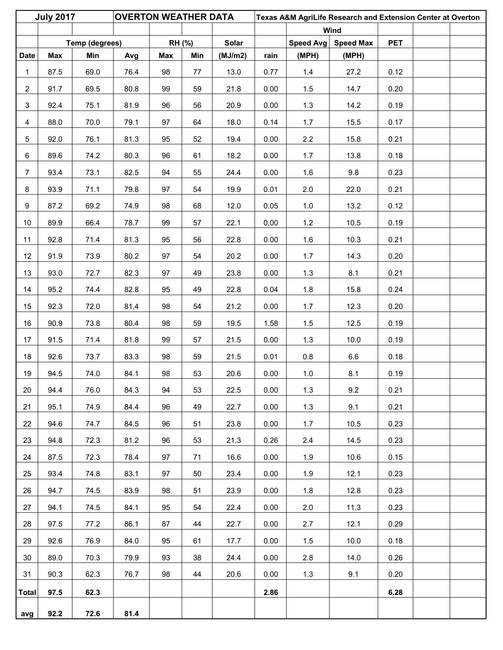|                  | <b>July 2017</b> |                | <b>OVERTON WEATHER DATA</b> |            |               |         |      |           | Texas A&M AgriLife Research and Extension Center at Overton |            |  |
|------------------|------------------|----------------|-----------------------------|------------|---------------|---------|------|-----------|-------------------------------------------------------------|------------|--|
|                  |                  |                |                             |            |               |         |      |           | Wind                                                        |            |  |
|                  |                  | Temp (degrees) |                             |            | <b>RH (%)</b> | Solar   |      | Speed Avg | <b>Speed Max</b>                                            | <b>PET</b> |  |
| <b>Date</b>      | Max              | Min            | Avg                         | <b>Max</b> | Min           | (MJ/m2) | rain | (MPH)     | (MPH)                                                       |            |  |
| 1                | 87.5             | 69.0           | 76.4                        | 98         | 77            | 13.0    | 0.77 | 1.4       | 27.2                                                        | 0.12       |  |
| $\overline{2}$   | 91.7             | 69.5           | 80.8                        | 99         | 59            | 21.8    | 0.00 | 1.5       | 14.7                                                        | 0.20       |  |
| 3                | 92.4             | 75.1           | 81.9                        | 96         | 56            | 20.9    | 0.00 | 1.3       | 14.2                                                        | 0.19       |  |
| $\overline{4}$   | 88.0             | 70.0           | 79.1                        | 97         | 64            | 18.0    | 0.14 | 1.7       | 15.5                                                        | 0.17       |  |
| 5                | 92.0             | 76.1           | 81.3                        | 95         | 52            | 19.4    | 0.00 | $2.2\,$   | 15.8                                                        | 0.21       |  |
| 6                | 89.6             | 74.2           | 80.3                        | 96         | 61            | 18.2    | 0.00 | 1.7       | 13.8                                                        | 0.18       |  |
| $\overline{7}$   | 93.4             | 73.1           | 82.5                        | 94         | 55            | 24.4    | 0.00 | 1.6       | 9.8                                                         | 0.23       |  |
| 8                | 93.9             | 71.1           | 79.8                        | 97         | 54            | 19.9    | 0.01 | 2.0       | 22.0                                                        | 0.21       |  |
| $\boldsymbol{9}$ | 87.2             | 69.2           | 74.9                        | 98         | 68            | 12.0    | 0.05 | $1.0$     | 13.2                                                        | 0.12       |  |
| 10               | 89.9             | 66.4           | 78.7                        | 99         | 57            | 22.1    | 0.00 | 1.2       | 10.5                                                        | 0.19       |  |
| 11               | 92.8             | 71.4           | 81.3                        | 95         | 56            | 22.8    | 0.00 | 1.6       | 10.3                                                        | 0.21       |  |
| 12               | 91.9             | 73.9           | 80.2                        | 97         | 54            | 20.2    | 0.00 | 1.7       | 14.3                                                        | 0.20       |  |
| 13               | 93.0             | 72.7           | 82.3                        | 97         | 49            | 23.8    | 0.00 | 1.3       | 8.1                                                         | 0.21       |  |
| 14               | 95.2             | 74.4           | 82.8                        | 95         | 49            | 22.8    | 0.04 | 1.8       | 15.8                                                        | 0.24       |  |
| 15               | 92.3             | 72.0           | 81.4                        | 98         | 54            | 21.2    | 0.00 | 1.7       | 12.3                                                        | 0.20       |  |
| 16               | 90.9             | 73.8           | 80.4                        | 98         | 59            | 19.5    | 1.58 | 1.5       | 12.5                                                        | 0.19       |  |
| 17               | 91.5             | 71.4           | 81.8                        | 99         | 57            | 21.5    | 0.00 | 1.3       | 10.0                                                        | 0.19       |  |
| 18               | 92.6             | 73.7           | 83.3                        | 98         | 59            | 21.5    | 0.01 | 0.8       | $6.6\,$                                                     | 0.18       |  |
| 19               | 94.5             | 74.0           | 84.1                        | 98         | 53            | 20.6    | 0.00 | $1.0$     | 8.1                                                         | 0.19       |  |
| 20               | 94.4             | 76.0           | 84.3                        | 94         | 53            | 22.5    | 0.00 | 1.3       | 9.2                                                         | 0.21       |  |
| 21               | 95.1             | 74.9           | 84.4                        | 96         | 49            | 22.7    | 0.00 | 1.3       | 9.1                                                         | 0.21       |  |
| 22               | 94.6             | 74.7           | 84.5                        | 96         | 51            | 23.8    | 0.00 | 1.7       | 10.5                                                        | 0.23       |  |
| 23               | 94.8             | 72.3           | 81.2                        | 96         | 53            | 21.3    | 0.26 | 2.4       | 14.5                                                        | 0.23       |  |
| 24               | 87.5             | 72.3           | 78.4                        | 97         | 71            | 16.6    | 0.00 | 1.9       | 10.6                                                        | 0.15       |  |
| 25               | 93.4             | 74.8           | 83.1                        | 97         | 50            | 23.4    | 0.00 | 1.9       | 12.1                                                        | 0.23       |  |
| 26               | 94.7             | 74.5           | 83.9                        | 98         | 51            | 23.9    | 0.00 | 1.8       | 12.8                                                        | 0.23       |  |
| 27               | 94.1             | 74.5           | 84.1                        | 95         | 54            | 22.4    | 0.00 | 2.0       | 11.3                                                        | 0.23       |  |
| 28               | 97.5             | 77.2           | 86.1                        | 87         | 44            | 22.7    | 0.00 | 2.7       | 12.1                                                        | 0.29       |  |
| 29               | 92.6             | 76.9           | 84.0                        | 95         | 61            | 17.7    | 0.00 | 1.5       | 10.0                                                        | 0.18       |  |
| 30               | 89.0             | 70.3           | 79.9                        | 93         | 38            | 24.4    | 0.00 | 2.8       | 14.0                                                        | 0.26       |  |
| 31               | 90.3             | 62.3           | 76.7                        | 98         | 44            | 20.6    | 0.00 | 1.3       | 9.1                                                         | 0.20       |  |
| <b>Total</b>     | 97.5             | 62.3           |                             |            |               |         | 2.86 |           |                                                             | 6.28       |  |
| avg              | 92.2             | 72.6           | 81.4                        |            |               |         |      |           |                                                             |            |  |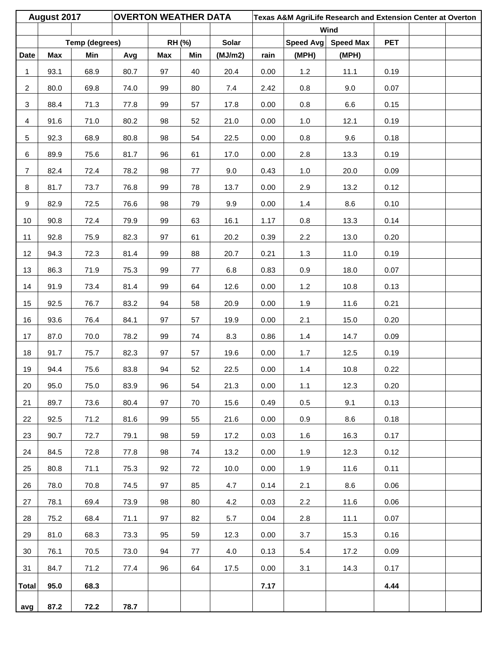|                | August 2017 |                | <b>OVERTON WEATHER DATA</b> |        |         |              |      |           | Texas A&M AgriLife Research and Extension Center at Overton |            |  |
|----------------|-------------|----------------|-----------------------------|--------|---------|--------------|------|-----------|-------------------------------------------------------------|------------|--|
|                |             |                |                             |        |         |              |      |           | Wind                                                        |            |  |
|                |             | Temp (degrees) |                             | RH (%) |         | <b>Solar</b> |      | Speed Avg | <b>Speed Max</b>                                            | <b>PET</b> |  |
| <b>Date</b>    | Max         | Min            | Avg                         | Max    | Min     | (MJ/m2)      | rain | (MPH)     | (MPH)                                                       |            |  |
| $\mathbf 1$    | 93.1        | 68.9           | 80.7                        | 97     | 40      | 20.4         | 0.00 | 1.2       | 11.1                                                        | 0.19       |  |
| $\overline{2}$ | 80.0        | 69.8           | 74.0                        | 99     | 80      | 7.4          | 2.42 | 0.8       | 9.0                                                         | 0.07       |  |
| $\mathbf{3}$   | 88.4        | 71.3           | 77.8                        | 99     | 57      | 17.8         | 0.00 | 0.8       | 6.6                                                         | 0.15       |  |
| $\overline{4}$ | 91.6        | 71.0           | 80.2                        | 98     | 52      | 21.0         | 0.00 | 1.0       | 12.1                                                        | 0.19       |  |
| 5              | 92.3        | 68.9           | 80.8                        | 98     | 54      | 22.5         | 0.00 | $0.8\,$   | 9.6                                                         | 0.18       |  |
| 6              | 89.9        | 75.6           | 81.7                        | 96     | 61      | 17.0         | 0.00 | 2.8       | 13.3                                                        | 0.19       |  |
| $\overline{7}$ | 82.4        | 72.4           | 78.2                        | 98     | 77      | 9.0          | 0.43 | 1.0       | 20.0                                                        | 0.09       |  |
| 8              | 81.7        | 73.7           | 76.8                        | 99     | 78      | 13.7         | 0.00 | 2.9       | 13.2                                                        | 0.12       |  |
| 9              | 82.9        | 72.5           | 76.6                        | 98     | 79      | 9.9          | 0.00 | 1.4       | 8.6                                                         | 0.10       |  |
| 10             | 90.8        | 72.4           | 79.9                        | 99     | 63      | 16.1         | 1.17 | 0.8       | 13.3                                                        | 0.14       |  |
| 11             | 92.8        | 75.9           | 82.3                        | 97     | 61      | 20.2         | 0.39 | 2.2       | 13.0                                                        | 0.20       |  |
| 12             | 94.3        | 72.3           | 81.4                        | 99     | 88      | 20.7         | 0.21 | 1.3       | 11.0                                                        | 0.19       |  |
| 13             | 86.3        | 71.9           | 75.3                        | 99     | $77 \,$ | 6.8          | 0.83 | 0.9       | 18.0                                                        | 0.07       |  |
| 14             | 91.9        | 73.4           | 81.4                        | 99     | 64      | 12.6         | 0.00 | 1.2       | 10.8                                                        | 0.13       |  |
| 15             | 92.5        | 76.7           | 83.2                        | 94     | 58      | 20.9         | 0.00 | 1.9       | 11.6                                                        | 0.21       |  |
| 16             | 93.6        | 76.4           | 84.1                        | 97     | 57      | 19.9         | 0.00 | 2.1       | 15.0                                                        | 0.20       |  |
| 17             | 87.0        | 70.0           | 78.2                        | 99     | 74      | 8.3          | 0.86 | $1.4$     | 14.7                                                        | 0.09       |  |
| 18             | 91.7        | 75.7           | 82.3                        | 97     | 57      | 19.6         | 0.00 | 1.7       | 12.5                                                        | 0.19       |  |
| 19             | 94.4        | 75.6           | 83.8                        | 94     | 52      | 22.5         | 0.00 | $1.4$     | 10.8                                                        | 0.22       |  |
| 20             | 95.0        | 75.0           | 83.9                        | 96     | 54      | 21.3         | 0.00 | 1.1       | 12.3                                                        | 0.20       |  |
| 21             | 89.7        | 73.6           | 80.4                        | 97     | 70      | 15.6         | 0.49 | 0.5       | 9.1                                                         | 0.13       |  |
| 22             | 92.5        | 71.2           | 81.6                        | 99     | 55      | 21.6         | 0.00 | 0.9       | 8.6                                                         | 0.18       |  |
| 23             | 90.7        | 72.7           | 79.1                        | 98     | 59      | 17.2         | 0.03 | 1.6       | 16.3                                                        | 0.17       |  |
| 24             | 84.5        | 72.8           | 77.8                        | 98     | 74      | 13.2         | 0.00 | 1.9       | 12.3                                                        | 0.12       |  |
| 25             | 80.8        | 71.1           | 75.3                        | 92     | 72      | 10.0         | 0.00 | 1.9       | 11.6                                                        | 0.11       |  |
| 26             | 78.0        | 70.8           | 74.5                        | 97     | 85      | 4.7          | 0.14 | 2.1       | 8.6                                                         | 0.06       |  |
| 27             | 78.1        | 69.4           | 73.9                        | 98     | 80      | 4.2          | 0.03 | 2.2       | 11.6                                                        | 0.06       |  |
| 28             | 75.2        | 68.4           | 71.1                        | 97     | 82      | 5.7          | 0.04 | 2.8       | 11.1                                                        | 0.07       |  |
| 29             | 81.0        | 68.3           | 73.3                        | 95     | 59      | 12.3         | 0.00 | 3.7       | 15.3                                                        | 0.16       |  |
| 30             | 76.1        | 70.5           | 73.0                        | 94     | 77      | 4.0          | 0.13 | 5.4       | 17.2                                                        | 0.09       |  |
| 31             | 84.7        | 71.2           | 77.4                        | 96     | 64      | 17.5         | 0.00 | 3.1       | 14.3                                                        | 0.17       |  |
| <b>Total</b>   | 95.0        | 68.3           |                             |        |         |              | 7.17 |           |                                                             | 4.44       |  |
| avg            | 87.2        | 72.2           | 78.7                        |        |         |              |      |           |                                                             |            |  |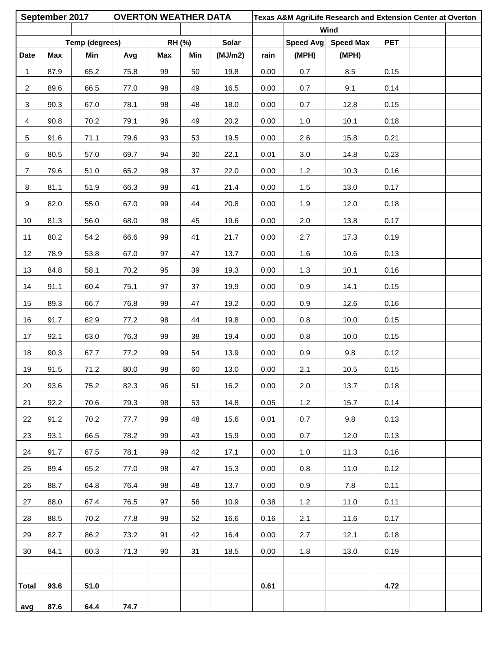|                | September 2017 |                | <b>OVERTON WEATHER DATA</b> |        |     |              |      |           | Texas A&M AgriLife Research and Extension Center at Overton |            |  |
|----------------|----------------|----------------|-----------------------------|--------|-----|--------------|------|-----------|-------------------------------------------------------------|------------|--|
|                |                |                |                             |        |     |              |      |           | Wind                                                        |            |  |
|                |                | Temp (degrees) |                             | RH (%) |     | <b>Solar</b> |      | Speed Avg | <b>Speed Max</b>                                            | <b>PET</b> |  |
| <b>Date</b>    | Max            | Min            | Avg                         | Max    | Min | (MJ/m2)      | rain | (MPH)     | (MPH)                                                       |            |  |
| $\mathbf 1$    | 87.9           | 65.2           | 75.8                        | 99     | 50  | 19.8         | 0.00 | 0.7       | 8.5                                                         | 0.15       |  |
| $\overline{2}$ | 89.6           | 66.5           | 77.0                        | 98     | 49  | 16.5         | 0.00 | 0.7       | 9.1                                                         | 0.14       |  |
| $\mathbf{3}$   | 90.3           | 67.0           | 78.1                        | 98     | 48  | 18.0         | 0.00 | 0.7       | 12.8                                                        | 0.15       |  |
| $\overline{4}$ | 90.8           | 70.2           | 79.1                        | 96     | 49  | 20.2         | 0.00 | $1.0$     | 10.1                                                        | 0.18       |  |
| 5              | 91.6           | 71.1           | 79.6                        | 93     | 53  | 19.5         | 0.00 | 2.6       | 15.8                                                        | 0.21       |  |
| 6              | 80.5           | 57.0           | 69.7                        | 94     | 30  | 22.1         | 0.01 | 3.0       | 14.8                                                        | 0.23       |  |
| $\overline{7}$ | 79.6           | 51.0           | 65.2                        | 98     | 37  | 22.0         | 0.00 | 1.2       | 10.3                                                        | 0.16       |  |
| 8              | 81.1           | 51.9           | 66.3                        | 98     | 41  | 21.4         | 0.00 | 1.5       | 13.0                                                        | 0.17       |  |
| 9              | 82.0           | 55.0           | 67.0                        | 99     | 44  | 20.8         | 0.00 | 1.9       | 12.0                                                        | 0.18       |  |
| 10             | 81.3           | 56.0           | 68.0                        | 98     | 45  | 19.6         | 0.00 | 2.0       | 13.8                                                        | 0.17       |  |
| 11             | 80.2           | 54.2           | 66.6                        | 99     | 41  | 21.7         | 0.00 | 2.7       | 17.3                                                        | 0.19       |  |
| 12             | 78.9           | 53.8           | 67.0                        | 97     | 47  | 13.7         | 0.00 | 1.6       | 10.6                                                        | 0.13       |  |
| 13             | 84.8           | 58.1           | 70.2                        | 95     | 39  | 19.3         | 0.00 | 1.3       | 10.1                                                        | 0.16       |  |
| 14             | 91.1           | 60.4           | 75.1                        | 97     | 37  | 19.9         | 0.00 | 0.9       | 14.1                                                        | 0.15       |  |
| 15             | 89.3           | 66.7           | 76.8                        | 99     | 47  | 19.2         | 0.00 | 0.9       | 12.6                                                        | 0.16       |  |
| 16             | 91.7           | 62.9           | 77.2                        | 98     | 44  | 19.8         | 0.00 | 0.8       | 10.0                                                        | 0.15       |  |
| 17             | 92.1           | 63.0           | 76.3                        | 99     | 38  | 19.4         | 0.00 | 0.8       | 10.0                                                        | 0.15       |  |
| 18             | 90.3           | 67.7           | 77.2                        | 99     | 54  | 13.9         | 0.00 | 0.9       | 9.8                                                         | 0.12       |  |
| 19             | 91.5           | 71.2           | 80.0                        | 98     | 60  | 13.0         | 0.00 | 2.1       | 10.5                                                        | 0.15       |  |
| 20             | 93.6           | 75.2           | 82.3                        | 96     | 51  | 16.2         | 0.00 | 2.0       | 13.7                                                        | 0.18       |  |
| 21             | 92.2           | 70.6           | 79.3                        | 98     | 53  | 14.8         | 0.05 | 1.2       | 15.7                                                        | 0.14       |  |
| 22             | 91.2           | 70.2           | 77.7                        | 99     | 48  | 15.6         | 0.01 | 0.7       | 9.8                                                         | 0.13       |  |
| 23             | 93.1           | 66.5           | 78.2                        | 99     | 43  | 15.9         | 0.00 | 0.7       | 12.0                                                        | 0.13       |  |
| 24             | 91.7           | 67.5           | 78.1                        | 99     | 42  | 17.1         | 0.00 | 1.0       | 11.3                                                        | 0.16       |  |
| 25             | 89.4           | 65.2           | 77.0                        | 98     | 47  | 15.3         | 0.00 | 0.8       | 11.0                                                        | 0.12       |  |
| 26             | 88.7           | 64.8           | 76.4                        | 98     | 48  | 13.7         | 0.00 | 0.9       | 7.8                                                         | 0.11       |  |
| 27             | 88.0           | 67.4           | 76.5                        | 97     | 56  | 10.9         | 0.38 | 1.2       | 11.0                                                        | 0.11       |  |
| 28             | 88.5           | 70.2           | 77.8                        | 98     | 52  | 16.6         | 0.16 | 2.1       | 11.6                                                        | 0.17       |  |
| 29             | 82.7           | 86.2           | 73.2                        | 91     | 42  | 16.4         | 0.00 | 2.7       | 12.1                                                        | 0.18       |  |
| 30             | 84.1           | 60.3           | 71.3                        | 90     | 31  | 18.5         | 0.00 | 1.8       | 13.0                                                        | 0.19       |  |
|                |                |                |                             |        |     |              |      |           |                                                             |            |  |
| <b>Total</b>   | 93.6           | 51.0           |                             |        |     |              | 0.61 |           |                                                             | 4.72       |  |
| avg            | 87.6           | 64.4           | 74.7                        |        |     |              |      |           |                                                             |            |  |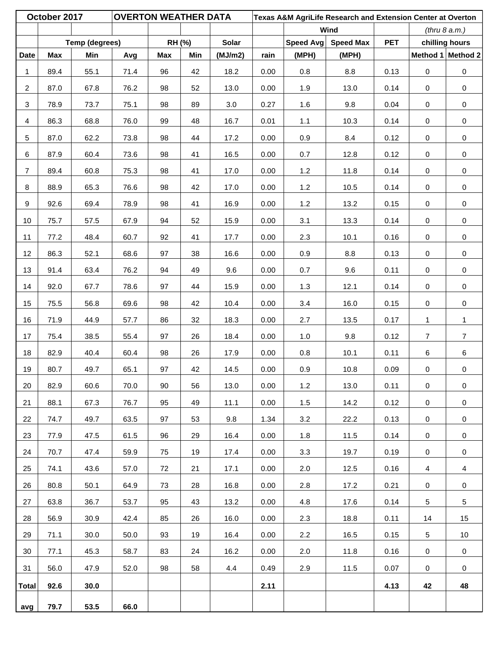|                | October 2017 |                | <b>OVERTON WEATHER DATA</b> |        |     |         |      |           | Texas A&M AgriLife Research and Extension Center at Overton |            |                  |                     |
|----------------|--------------|----------------|-----------------------------|--------|-----|---------|------|-----------|-------------------------------------------------------------|------------|------------------|---------------------|
|                |              |                |                             |        |     |         |      |           | Wind                                                        |            |                  | (thru 8 a.m.)       |
|                |              | Temp (degrees) |                             | RH (%) |     | Solar   |      | Speed Avg | <b>Speed Max</b>                                            | <b>PET</b> |                  | chilling hours      |
| <b>Date</b>    | Max          | Min            | Avg                         | Max    | Min | (MJ/m2) | rain | (MPH)     | (MPH)                                                       |            |                  | Method 1 Method 2   |
| $\mathbf 1$    | 89.4         | 55.1           | 71.4                        | 96     | 42  | 18.2    | 0.00 | 0.8       | 8.8                                                         | 0.13       | $\pmb{0}$        | $\pmb{0}$           |
| $\overline{2}$ | 87.0         | 67.8           | 76.2                        | 98     | 52  | 13.0    | 0.00 | 1.9       | 13.0                                                        | 0.14       | $\boldsymbol{0}$ | $\pmb{0}$           |
| 3              | 78.9         | 73.7           | 75.1                        | 98     | 89  | 3.0     | 0.27 | 1.6       | 9.8                                                         | 0.04       | $\pmb{0}$        | $\pmb{0}$           |
| $\overline{4}$ | 86.3         | 68.8           | 76.0                        | 99     | 48  | 16.7    | 0.01 | 1.1       | 10.3                                                        | 0.14       | $\mathbf 0$      | $\pmb{0}$           |
| 5              | 87.0         | 62.2           | 73.8                        | 98     | 44  | 17.2    | 0.00 | 0.9       | 8.4                                                         | 0.12       | $\pmb{0}$        | $\pmb{0}$           |
| 6              | 87.9         | 60.4           | 73.6                        | 98     | 41  | 16.5    | 0.00 | 0.7       | 12.8                                                        | 0.12       | $\pmb{0}$        | $\pmb{0}$           |
| $\overline{7}$ | 89.4         | 60.8           | 75.3                        | 98     | 41  | 17.0    | 0.00 | $1.2$     | 11.8                                                        | 0.14       | $\pmb{0}$        | $\pmb{0}$           |
| 8              | 88.9         | 65.3           | 76.6                        | 98     | 42  | 17.0    | 0.00 | 1.2       | 10.5                                                        | 0.14       | $\mathbf 0$      | $\pmb{0}$           |
| 9              | 92.6         | 69.4           | 78.9                        | 98     | 41  | 16.9    | 0.00 | 1.2       | 13.2                                                        | 0.15       | $\pmb{0}$        | 0                   |
| 10             | 75.7         | 57.5           | 67.9                        | 94     | 52  | 15.9    | 0.00 | 3.1       | 13.3                                                        | 0.14       | $\mathbf 0$      | $\pmb{0}$           |
| 11             | 77.2         | 48.4           | 60.7                        | 92     | 41  | 17.7    | 0.00 | 2.3       | 10.1                                                        | 0.16       | $\mathbf 0$      | $\pmb{0}$           |
| 12             | 86.3         | 52.1           | 68.6                        | 97     | 38  | 16.6    | 0.00 | 0.9       | 8.8                                                         | 0.13       | $\pmb{0}$        | $\pmb{0}$           |
| 13             | 91.4         | 63.4           | 76.2                        | 94     | 49  | 9.6     | 0.00 | 0.7       | 9.6                                                         | 0.11       | $\pmb{0}$        | $\pmb{0}$           |
| 14             | 92.0         | 67.7           | 78.6                        | 97     | 44  | 15.9    | 0.00 | $1.3$     | 12.1                                                        | 0.14       | $\mathbf 0$      | $\pmb{0}$           |
| 15             | 75.5         | 56.8           | 69.6                        | 98     | 42  | 10.4    | 0.00 | 3.4       | 16.0                                                        | 0.15       | $\pmb{0}$        | $\pmb{0}$           |
| 16             | 71.9         | 44.9           | 57.7                        | 86     | 32  | 18.3    | 0.00 | 2.7       | 13.5                                                        | 0.17       | $\mathbf{1}$     | $\mathbf{1}$        |
| 17             | 75.4         | 38.5           | 55.4                        | 97     | 26  | 18.4    | 0.00 | $1.0$     | 9.8                                                         | 0.12       | 7                | $\boldsymbol{7}$    |
| 18             | 82.9         | 40.4           | 60.4                        | 98     | 26  | 17.9    | 0.00 | 0.8       | 10.1                                                        | 0.11       | 6                | 6                   |
| 19             | 80.7         | 49.7           | 65.1                        | 97     | 42  | 14.5    | 0.00 | 0.9       | 10.8                                                        | 0.09       | $\pmb{0}$        | $\pmb{0}$           |
| 20             | 82.9         | 60.6           | 70.0                        | 90     | 56  | 13.0    | 0.00 | $1.2$     | 13.0                                                        | 0.11       | 0                | 0                   |
| 21             | 88.1         | 67.3           | 76.7                        | 95     | 49  | 11.1    | 0.00 | 1.5       | 14.2                                                        | 0.12       | 0                | 0                   |
| 22             | 74.7         | 49.7           | 63.5                        | 97     | 53  | 9.8     | 1.34 | 3.2       | 22.2                                                        | 0.13       | 0                | $\pmb{0}$           |
| 23             | 77.9         | 47.5           | 61.5                        | 96     | 29  | 16.4    | 0.00 | 1.8       | 11.5                                                        | 0.14       | 0                | $\pmb{0}$           |
| 24             | 70.7         | 47.4           | 59.9                        | 75     | 19  | 17.4    | 0.00 | 3.3       | 19.7                                                        | 0.19       | $\mathbf 0$      | $\mathsf{O}\xspace$ |
| 25             | 74.1         | 43.6           | 57.0                        | 72     | 21  | 17.1    | 0.00 | 2.0       | 12.5                                                        | 0.16       | 4                | $\overline{4}$      |
| 26             | 80.8         | 50.1           | 64.9                        | 73     | 28  | 16.8    | 0.00 | 2.8       | 17.2                                                        | 0.21       | 0                | 0                   |
| 27             | 63.8         | 36.7           | 53.7                        | 95     | 43  | 13.2    | 0.00 | 4.8       | 17.6                                                        | 0.14       | $\sqrt{5}$       | 5                   |
| 28             | 56.9         | 30.9           | 42.4                        | 85     | 26  | 16.0    | 0.00 | 2.3       | 18.8                                                        | 0.11       | 14               | 15                  |
| 29             | 71.1         | 30.0           | 50.0                        | 93     | 19  | 16.4    | 0.00 | 2.2       | 16.5                                                        | 0.15       | 5                | 10                  |
| 30             | 77.1         | 45.3           | 58.7                        | 83     | 24  | 16.2    | 0.00 | 2.0       | 11.8                                                        | 0.16       | $\mathbf 0$      | 0                   |
| 31             | 56.0         | 47.9           | 52.0                        | 98     | 58  | 4.4     | 0.49 | 2.9       | 11.5                                                        | 0.07       | 0                | $\pmb{0}$           |
| Total          | 92.6         | 30.0           |                             |        |     |         | 2.11 |           |                                                             | 4.13       | 42               | 48                  |
| avg            | 79.7         | 53.5           | 66.0                        |        |     |         |      |           |                                                             |            |                  |                     |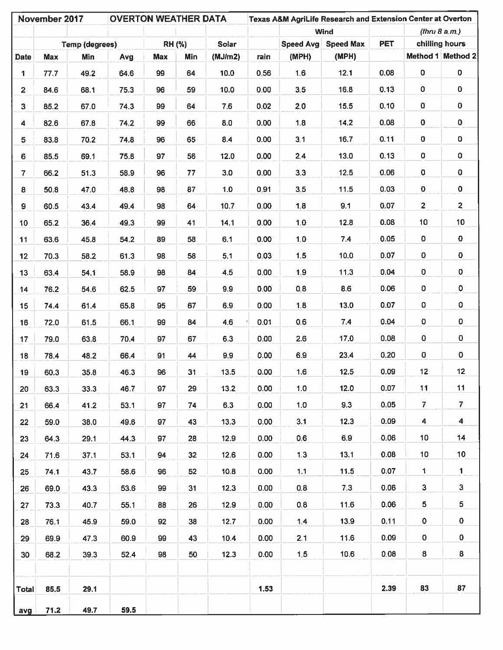|                         | November 2017 |                | <b>OVERTON WEATHER DATA</b> |     |        |         |        |                | Texas A&M AgriLife Research and Extension Center at Overton |            |                         |                         |
|-------------------------|---------------|----------------|-----------------------------|-----|--------|---------|--------|----------------|-------------------------------------------------------------|------------|-------------------------|-------------------------|
|                         |               |                |                             |     |        |         |        |                | <b>Wind</b>                                                 |            |                         | (thru 8 a.m.)           |
|                         |               | Temp (degrees) |                             |     | RH (%) | Solar   |        |                | Speed Avg Speed Max                                         | <b>PET</b> |                         | chilling hours          |
| <b>Date</b>             | <b>Max</b>    | Min            | Avg                         | Max | Min    | (MJ/m2) | rain   | (MPH)          | (MPH)                                                       |            |                         | Method 1 Method 2       |
| 1                       | 77.7          | 49.2           | 64.6                        | 99  | 64     | 10.0    | 0.56   | 1.6            | 12.1                                                        | 0.08       | $\pmb{0}$               | 0                       |
| $\overline{\mathbf{2}}$ | 84.6          | 68.1           | 75.3                        | 96  | 59     | 10.0    | 0.00   | 3,5            | 16.8                                                        | 0.13       | 0                       | 0                       |
| $\overline{\mathbf{3}}$ | 85.2          | 67.0           | 74.3                        | 99  | 64     | 7.6     | 0.02   | 2,0            | 15.5                                                        | 0.10       | 0                       | 0                       |
| $\blacktriangleleft$    | 82.6          | 67.8           | 74.2                        | 99  | 66     | 8.0     | 0.00   | 1.8            | 14.2                                                        | 0.08       | $\mathbf 0$             | 0                       |
| 5                       | 83.8          | 70.2           | 74.8                        | 96  | 65     | 8.4     | 0.00   | 3.1            | 16.7                                                        | 0.11       | $\pmb{0}$               | 0                       |
| 6                       | 85.5          | 69.1           | 75.8                        | 97  | 56     | 12.0    | 0.00   | 2,4            | 13.0                                                        | 0.13       | 0                       | 0                       |
| $\overline{7}$          | 66.2          | 51.3           | 58.9                        | 96  | 77     | 3.0     | 0.00   | 3,3            | 12.5                                                        | 0.06       | 0                       | 0                       |
| 8                       | 50.8          | 47.0           | 48.8                        | 98  | 87     | 1.0     | 0,91   | 3,5            | 11.5                                                        | 0.03       | $\pmb{0}$               | $\mathbf 0$             |
| 9                       | 60.5          | 43.4           | 49.4                        | 98  | 64     | 10.7    | 0,00   | 1,8            | 9.1                                                         | 0.07       | $\overline{\mathbf{c}}$ | $\overline{\mathbf{c}}$ |
| 10 <sub>1</sub>         | 65.2          | 36.4           | 49.3                        | 99  | 41     | 14.1    | 0.00   | 1,0            | 12.8                                                        | 0.08       | 10                      | 10                      |
| 11                      | 63.6          | 45.8           | 54.2                        | 89  | 58     | 6.1     | 0.00   | 1,0            | 7.4                                                         | 0.05       | 0                       | $\mathbf 0$             |
| 12 <sub>2</sub>         | 70.3          | 58.2           | 61.3                        | 98  | 58     | 5.1     | 0.03   | 1,5            | 10.0                                                        | 0.07       | $\bf{0}$                | 0                       |
| 13 <sub>13</sub>        | 63.4          | 54.1           | 58.9                        | 98  | 84     | 4.5     | 0.00   | 1.9            | 11.3                                                        | 0.04       | ${\bf 0}$               | 0                       |
| 14                      | 76.2          | 54.6           | 62.5                        | 97  | 59     | 9.9     | 0.00   | 0.8            | 8.6                                                         | 0.06       | 0                       | 0                       |
| 15                      | 74.4          | 61.4           | 65.8                        | 95  | 67     | 6.9     | 0.00   | 1,8            | 13.0                                                        | 0.07       | 0                       | 0                       |
| 16                      | 72.0          | 61.5           | 66.1                        | 99  | 84     | 4.6     | 0.01   | 0.6            | 7.4                                                         | 0.04       | 0                       | $\pmb{0}$               |
| 17                      | 79.0          | 63.8           | 70.4                        | 97  | 67     | 6.3     | 0.00   | 2.6            | 17.0                                                        | 0.08       | 0                       | $\mathbf 0$             |
| 18                      | 78.4          | 48.2           | 66.4                        | 91  | 44     | 9.9     | 0.00   | 6.9            | 23.4                                                        | 0.20       | 0                       | $\mathbf 0$             |
| 19                      | 60.3          | 35.8           | 46.3                        | 96  | 31     | 13.5    | 0.00   | 1.6            | 12.5                                                        | 0.09       | 12                      | 12                      |
| 20                      | 63.3          | 33.3           | 46.7                        | 97  | 29     | 13.2    | 0.00   | 1.0            | 12.0                                                        | 0.07       | 11                      | 11                      |
| 21                      | 66.4          | 41.2           | 53.1                        | 97  | 74     | 6.3     | 0.00   | 1.0            | 9.3                                                         | 0.05       | $\overline{7}$          | $\overline{7}$          |
| 22                      | 59.0          | 38.0           | 49.6                        | 97  | 43     | 13.3    | 0.00   | 3.1            | 12.3                                                        | 0.09       | $\overline{\mathbf{4}}$ | 4                       |
| 23                      | 64.3          | 29.1           | 44.3                        | 97  | 28     | 12.9    | 0.00   | 0,6            | 6.9                                                         | 0.06       | 10 <sub>1</sub>         | 14                      |
| 24                      | 71.6          | 37.1           | 53.1                        | 94  | 32     | 12.6    | 0.00   | 1,3            | 13.1                                                        | 0.08       | 10 <sub>1</sub>         | 10                      |
| 25                      | 74.1          | 43.7           | 58.6                        | 96  | 52     | 10.8    | 0.00   | 1.1            | 11.5                                                        | 0.07       | $\mathbf{1}$            | 1                       |
| 26                      | 69.0          | 43.3           | 53.6                        | 99  | 31     | 12.3    | 0.00   | $\mathbf{0.8}$ | 7.3                                                         | 0.06       | 3                       | 3                       |
| 27                      | 73.3          | 40.7           | 55.1                        | 88  | 26     | 12.9    | 0.00   | 0.8            | 11.6                                                        | 0.06       | 5                       | 5                       |
| 28                      | 76.1          | 45.9           | 59.0                        | 92  | 38     | 12.7    | 0.00   | 1.4            | 13.9                                                        | 0.11       | 0                       | $\mathbf 0$             |
| 29                      | 69.9          | 47.3           | 60.9                        | 99  | 43     | 10.4    | 0.00   | 2.1            | 11.6                                                        | 0.09       | $\mathbf 0$             | 0                       |
| 30                      | 68.2          | 39.3           | 52.4                        | 98  | 50     | 12.3    | 0.00   | 1.5            | 10.6                                                        | 0.08       | 8                       | 8                       |
|                         |               |                |                             |     |        |         |        |                |                                                             |            |                         |                         |
| Total                   | 85.5          | 29.1           |                             |     |        |         | $1.53$ |                |                                                             | 2.39       | 83                      | 87                      |
| avg                     | 71.2          | 49.7           | 59.5                        |     |        |         |        |                |                                                             |            |                         |                         |